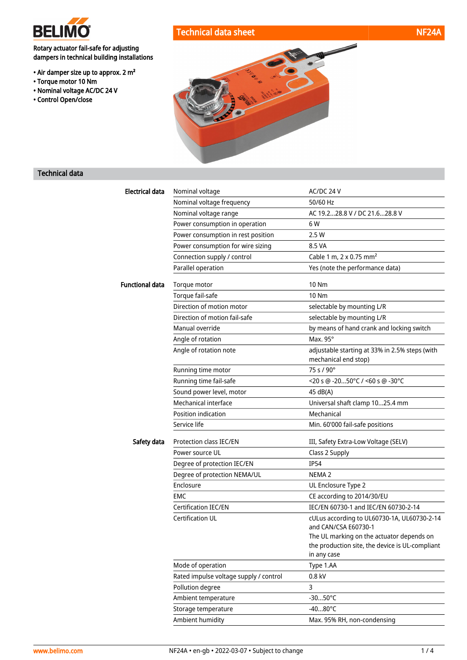

Rotary actuator fail-safe for adjusting dampers in technical building installations

- Air damper size up to approx. 2 m²
- Torque motor 10 Nm
- Nominal voltage AC/DC 24 V
- Control Open/close





## Technical data

| <b>Electrical data</b> | Nominal voltage                        | AC/DC 24 V                                                             |
|------------------------|----------------------------------------|------------------------------------------------------------------------|
|                        | Nominal voltage frequency              | 50/60 Hz                                                               |
|                        | Nominal voltage range                  | AC 19.228.8 V / DC 21.628.8 V                                          |
|                        | Power consumption in operation         | 6 W                                                                    |
|                        | Power consumption in rest position     | 2.5 W                                                                  |
|                        | Power consumption for wire sizing      | 8.5 VA                                                                 |
|                        | Connection supply / control            | Cable 1 m, 2 x 0.75 mm <sup>2</sup>                                    |
|                        | Parallel operation                     | Yes (note the performance data)                                        |
| <b>Functional data</b> | Torque motor                           | 10 Nm                                                                  |
|                        | Torque fail-safe                       | 10 Nm                                                                  |
|                        | Direction of motion motor              | selectable by mounting L/R                                             |
|                        | Direction of motion fail-safe          | selectable by mounting L/R                                             |
|                        | Manual override                        | by means of hand crank and locking switch                              |
|                        | Angle of rotation                      | Max. 95°                                                               |
|                        | Angle of rotation note                 | adjustable starting at 33% in 2.5% steps (with<br>mechanical end stop) |
|                        | Running time motor                     | $75 s / 90^{\circ}$                                                    |
|                        | Running time fail-safe                 | <20 s @ -2050°C / <60 s @ -30°C                                        |
|                        | Sound power level, motor               | 45 dB(A)                                                               |
|                        | Mechanical interface                   | Universal shaft clamp 1025.4 mm                                        |
|                        | Position indication                    | Mechanical                                                             |
|                        | Service life                           | Min. 60'000 fail-safe positions                                        |
| Safety data            | Protection class IEC/EN                | III, Safety Extra-Low Voltage (SELV)                                   |
|                        | Power source UL                        | Class 2 Supply                                                         |
|                        | Degree of protection IEC/EN            | <b>IP54</b>                                                            |
|                        | Degree of protection NEMA/UL           | NEMA <sub>2</sub>                                                      |
|                        | Enclosure                              | UL Enclosure Type 2                                                    |
|                        | EMC                                    | CE according to 2014/30/EU                                             |
|                        | <b>Certification IEC/EN</b>            | IEC/EN 60730-1 and IEC/EN 60730-2-14                                   |
|                        | <b>Certification UL</b>                | cULus according to UL60730-1A, UL60730-2-14<br>and CAN/CSA E60730-1    |
|                        |                                        | The UL marking on the actuator depends on                              |
|                        |                                        | the production site, the device is UL-compliant                        |
|                        |                                        | in any case                                                            |
|                        | Mode of operation                      | Type 1.AA                                                              |
|                        | Rated impulse voltage supply / control | 0.8 kV                                                                 |
|                        | Pollution degree                       | 3                                                                      |
|                        | Ambient temperature                    | $-3050^{\circ}$ C                                                      |
|                        | Storage temperature                    | $-4080^{\circ}$ C                                                      |
|                        | Ambient humidity                       | Max. 95% RH, non-condensing                                            |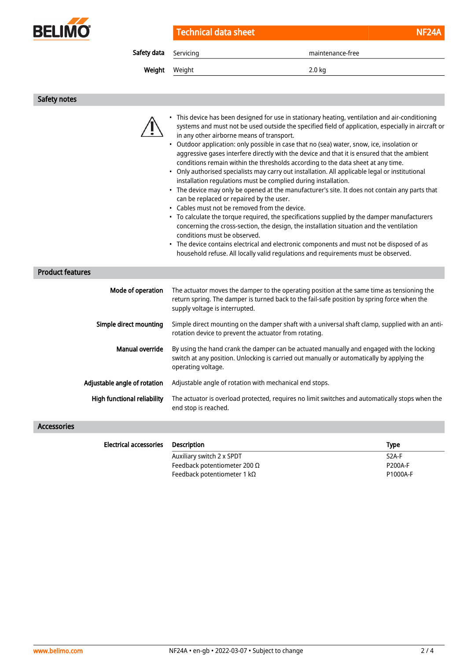

Technical data sheet NF24A

Safety data Servicing maintenance-free

Weight Weight 2.0 kg

Safety notes

| <b>Product features</b>            | • This device has been designed for use in stationary heating, ventilation and air-conditioning<br>systems and must not be used outside the specified field of application, especially in aircraft or<br>in any other airborne means of transport.<br>Outdoor application: only possible in case that no (sea) water, snow, ice, insolation or<br>$\bullet$<br>aggressive gases interfere directly with the device and that it is ensured that the ambient<br>conditions remain within the thresholds according to the data sheet at any time.<br>• Only authorised specialists may carry out installation. All applicable legal or institutional<br>installation regulations must be complied during installation.<br>• The device may only be opened at the manufacturer's site. It does not contain any parts that<br>can be replaced or repaired by the user.<br>• Cables must not be removed from the device.<br>• To calculate the torque required, the specifications supplied by the damper manufacturers<br>concerning the cross-section, the design, the installation situation and the ventilation<br>conditions must be observed.<br>The device contains electrical and electronic components and must not be disposed of as<br>٠<br>household refuse. All locally valid regulations and requirements must be observed. |                |
|------------------------------------|-------------------------------------------------------------------------------------------------------------------------------------------------------------------------------------------------------------------------------------------------------------------------------------------------------------------------------------------------------------------------------------------------------------------------------------------------------------------------------------------------------------------------------------------------------------------------------------------------------------------------------------------------------------------------------------------------------------------------------------------------------------------------------------------------------------------------------------------------------------------------------------------------------------------------------------------------------------------------------------------------------------------------------------------------------------------------------------------------------------------------------------------------------------------------------------------------------------------------------------------------------------------------------------------------------------------------------------|----------------|
| Mode of operation                  | The actuator moves the damper to the operating position at the same time as tensioning the<br>return spring. The damper is turned back to the fail-safe position by spring force when the<br>supply voltage is interrupted.                                                                                                                                                                                                                                                                                                                                                                                                                                                                                                                                                                                                                                                                                                                                                                                                                                                                                                                                                                                                                                                                                                         |                |
| Simple direct mounting             | Simple direct mounting on the damper shaft with a universal shaft clamp, supplied with an anti-<br>rotation device to prevent the actuator from rotating.                                                                                                                                                                                                                                                                                                                                                                                                                                                                                                                                                                                                                                                                                                                                                                                                                                                                                                                                                                                                                                                                                                                                                                           |                |
| <b>Manual override</b>             | By using the hand crank the damper can be actuated manually and engaged with the locking<br>switch at any position. Unlocking is carried out manually or automatically by applying the<br>operating voltage.                                                                                                                                                                                                                                                                                                                                                                                                                                                                                                                                                                                                                                                                                                                                                                                                                                                                                                                                                                                                                                                                                                                        |                |
| Adjustable angle of rotation       | Adjustable angle of rotation with mechanical end stops.                                                                                                                                                                                                                                                                                                                                                                                                                                                                                                                                                                                                                                                                                                                                                                                                                                                                                                                                                                                                                                                                                                                                                                                                                                                                             |                |
| <b>High functional reliability</b> | The actuator is overload protected, requires no limit switches and automatically stops when the<br>end stop is reached.                                                                                                                                                                                                                                                                                                                                                                                                                                                                                                                                                                                                                                                                                                                                                                                                                                                                                                                                                                                                                                                                                                                                                                                                             |                |
| <b>Accessories</b>                 |                                                                                                                                                                                                                                                                                                                                                                                                                                                                                                                                                                                                                                                                                                                                                                                                                                                                                                                                                                                                                                                                                                                                                                                                                                                                                                                                     |                |
| <b>Electrical accessories</b>      | <b>Description</b>                                                                                                                                                                                                                                                                                                                                                                                                                                                                                                                                                                                                                                                                                                                                                                                                                                                                                                                                                                                                                                                                                                                                                                                                                                                                                                                  | <b>Type</b>    |
|                                    | Auxiliary switch 2 x SPDT                                                                                                                                                                                                                                                                                                                                                                                                                                                                                                                                                                                                                                                                                                                                                                                                                                                                                                                                                                                                                                                                                                                                                                                                                                                                                                           | S2A-F          |
|                                    | Feedback potentiometer 200 Ω                                                                                                                                                                                                                                                                                                                                                                                                                                                                                                                                                                                                                                                                                                                                                                                                                                                                                                                                                                                                                                                                                                                                                                                                                                                                                                        | <b>P200A-F</b> |
|                                    | Feedback potentiometer 1 k $\Omega$                                                                                                                                                                                                                                                                                                                                                                                                                                                                                                                                                                                                                                                                                                                                                                                                                                                                                                                                                                                                                                                                                                                                                                                                                                                                                                 | P1000A-F       |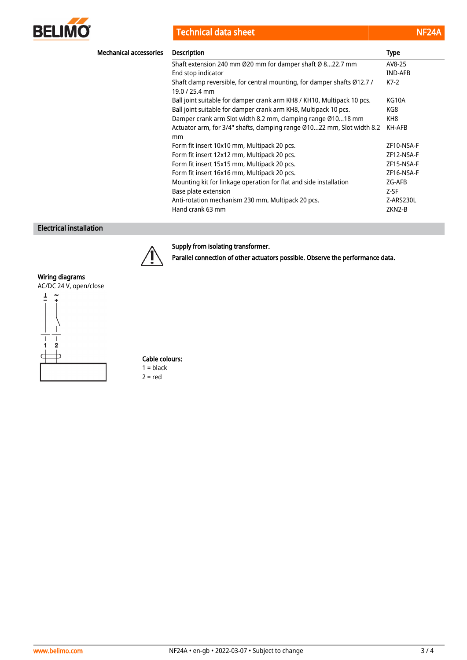

**Technical data sheet** 

| <b>Service Service</b>                                                                                                                                                      |  |
|-----------------------------------------------------------------------------------------------------------------------------------------------------------------------------|--|
| $\mathcal{L}^{\text{max}}_{\text{max}}$ and $\mathcal{L}^{\text{max}}_{\text{max}}$ and $\mathcal{L}^{\text{max}}_{\text{max}}$ and $\mathcal{L}^{\text{max}}_{\text{max}}$ |  |

| <b>Mechanical accessories</b> | <b>Description</b>                                                                      | <b>Type</b>    |
|-------------------------------|-----------------------------------------------------------------------------------------|----------------|
|                               | Shaft extension 240 mm Ø20 mm for damper shaft Ø 822.7 mm                               | AV8-25         |
|                               | End stop indicator                                                                      | <b>IND-AFB</b> |
|                               | Shaft clamp reversible, for central mounting, for damper shafts Ø12.7 /<br>19.0/25.4 mm | $K7-2$         |
|                               | Ball joint suitable for damper crank arm KH8 / KH10, Multipack 10 pcs.                  | KG10A          |
|                               | Ball joint suitable for damper crank arm KH8, Multipack 10 pcs.                         | KG8            |
|                               | Damper crank arm Slot width 8.2 mm, clamping range Ø1018 mm                             | KH8            |
|                               | Actuator arm, for 3/4" shafts, clamping range Ø1022 mm, Slot width 8.2<br>mm            | KH-AFB         |
|                               | Form fit insert 10x10 mm, Multipack 20 pcs.                                             | ZF10-NSA-F     |
|                               | Form fit insert 12x12 mm, Multipack 20 pcs.                                             | ZF12-NSA-F     |
|                               | Form fit insert 15x15 mm, Multipack 20 pcs.                                             | ZF15-NSA-F     |
|                               | Form fit insert 16x16 mm, Multipack 20 pcs.                                             | ZF16-NSA-F     |
|                               | Mounting kit for linkage operation for flat and side installation                       | ZG-AFB         |
|                               | Base plate extension                                                                    | Z-SF           |
|                               | Anti-rotation mechanism 230 mm, Multipack 20 pcs.                                       | Z-ARS230L      |
|                               | Hand crank 63 mm                                                                        | ZKN2-B         |

# Electrical installation



# Supply from isolating transformer.

Parallel connection of other actuators possible. Observe the performance data.

### Wiring diagrams

AC/DC 24 V, open/close



Cable colours:  $1 = **black**$  $2 = red$